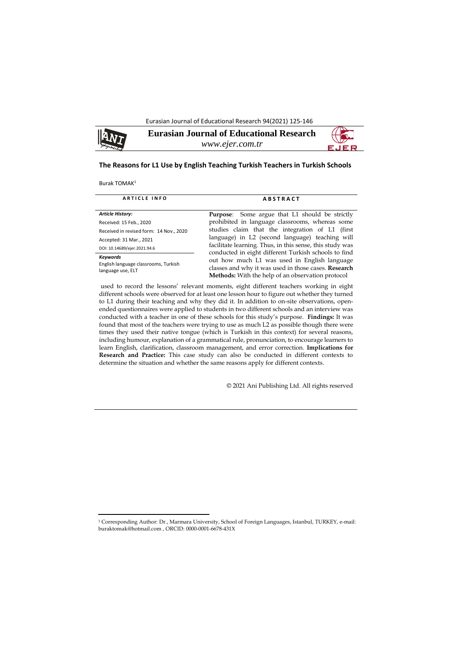Eurasian Journal of Educational Research 94(2021) 125-146



**Eurasian Journal of Educational Research** *www.ejer.com.tr*



## **The Reasons for L1 Use by English Teaching Turkish Teachers in Turkish Schools**

Burak TOMAK<sup>1</sup>

1

| <b>ARTICLE INFO</b>                                                          | <b>ABSTRACT</b>                                                                                                                                                                                                                                                                                                                  |  |  |  |  |
|------------------------------------------------------------------------------|----------------------------------------------------------------------------------------------------------------------------------------------------------------------------------------------------------------------------------------------------------------------------------------------------------------------------------|--|--|--|--|
| <b>Article History:</b>                                                      | <b>Purpose:</b> Some argue that L1 should be strictly                                                                                                                                                                                                                                                                            |  |  |  |  |
| Received: 15 Feb., 2020                                                      | prohibited in language classrooms, whereas some                                                                                                                                                                                                                                                                                  |  |  |  |  |
| Received in revised form: 14 Nov., 2020                                      | studies claim that the integration of L1 (first                                                                                                                                                                                                                                                                                  |  |  |  |  |
| Accepted: 31 Mar., 2021                                                      | language) in L2 (second language) teaching will<br>facilitate learning. Thus, in this sense, this study was<br>conducted in eight different Turkish schools to find<br>out how much L1 was used in English language<br>classes and why it was used in those cases. Research<br>Methods: With the help of an observation protocol |  |  |  |  |
| DOI: 10.14689/ejer.2021.94.6                                                 |                                                                                                                                                                                                                                                                                                                                  |  |  |  |  |
| <b>Keywords</b><br>English language classrooms, Turkish<br>language use, ELT |                                                                                                                                                                                                                                                                                                                                  |  |  |  |  |

used to record the lessons' relevant moments, eight different teachers working in eight different schools were observed for at least one lesson hour to figure out whether they turned to L1 during their teaching and why they did it. In addition to on-site observations, openended questionnaires were applied to students in two different schools and an interview was conducted with a teacher in one of these schools for this study's purpose. **Findings:** It was found that most of the teachers were trying to use as much L2 as possible though there were times they used their native tongue (which is Turkish in this context) for several reasons, including humour, explanation of a grammatical rule, pronunciation, to encourage learners to learn English, clarification, classroom management, and error correction. **Implications for Research and Practice:** This case study can also be conducted in different contexts to determine the situation and whether the same reasons apply for different contexts.

© 2021 Ani Publishing Ltd. All rights reserved

<sup>1</sup> Corresponding Author: Dr., Marmara University, School of Foreign Languages, Istanbul, TURKEY, e-mail: buraktomak@hotmail.com , ORCID: 0000-0001-6678-431X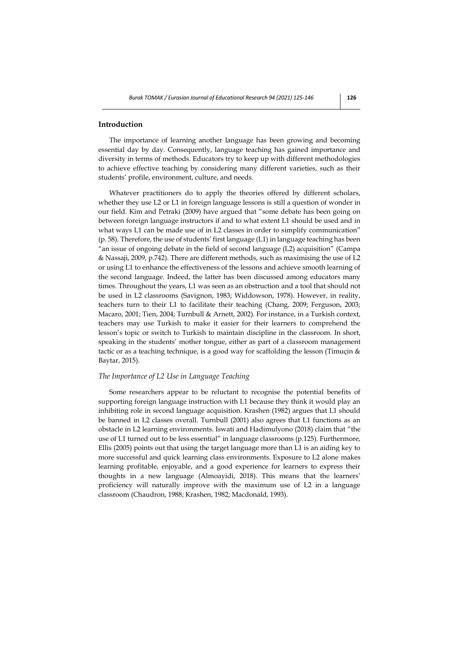## **Introduction**

The importance of learning another language has been growing and becoming essential day by day. Consequently, language teaching has gained importance and diversity in terms of methods. Educators try to keep up with different methodologies to achieve effective teaching by considering many different varieties, such as their students' profile, environment, culture, and needs.

Whatever practitioners do to apply the theories offered by different scholars, whether they use L2 or L1 in foreign language lessons is still a question of wonder in our field. Kim and Petraki (2009) have argued that "some debate has been going on between foreign language instructors if and to what extent L1 should be used and in what ways L1 can be made use of in L2 classes in order to simplify communication" (p. 58). Therefore, the use of students' first language (L1) in language teaching has been "an issue of ongoing debate in the field of second language (L2) acquisition" (Campa & Nassaji, 2009, p.742). There are different methods, such as maximising the use of L2 or using L1 to enhance the effectiveness of the lessons and achieve smooth learning of the second language. Indeed, the latter has been discussed among educators many times. Throughout the years, L1 was seen as an obstruction and a tool that should not be used in L2 classrooms (Savignon, 1983; Widdowson, 1978). However, in reality, teachers turn to their L1 to facilitate their teaching (Chang, 2009; Ferguson, 2003; Macaro, 2001; Tien, 2004; Turnbull & Arnett, 2002). For instance, in a Turkish context, teachers may use Turkish to make it easier for their learners to comprehend the lesson's topic or switch to Turkish to maintain discipline in the classroom. In short, speaking in the students' mother tongue, either as part of a classroom management tactic or as a teaching technique, is a good way for scaffolding the lesson (Timuçin & Baytar, 2015).

#### *The Importance of L2 Use in Language Teaching*

Some researchers appear to be reluctant to recognise the potential benefits of supporting foreign language instruction with L1 because they think it would play an inhibiting role in second language acquisition. Krashen (1982) argues that L1 should be banned in L2 classes overall. Turnbull (2001) also agrees that L1 functions as an obstacle in L2 learning environments. Iswati and Hadimulyono (2018) claim that "the use of L1 turned out to be less essential" in language classrooms (p.125). Furthermore, Ellis (2005) points out that using the target language more than L1 is an aiding key to more successful and quick learning class environments. Exposure to L2 alone makes learning profitable, enjoyable, and a good experience for learners to express their thoughts in a new language (Almoayidi, 2018). This means that the learners' proficiency will naturally improve with the maximum use of L2 in a language classroom (Chaudron, 1988; Krashen, 1982; Macdonald, 1993).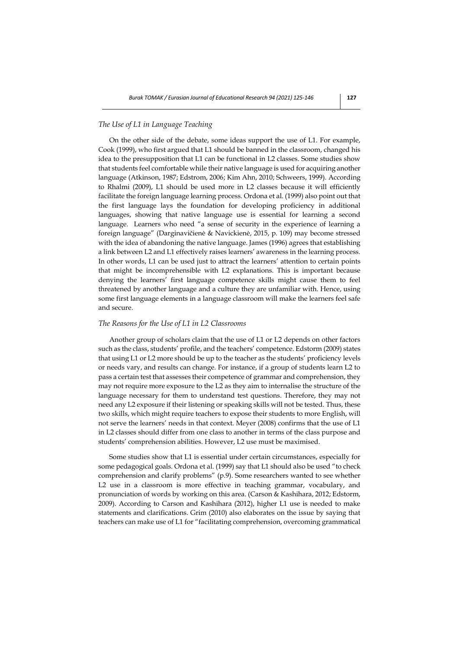## *The Use of L1 in Language Teaching*

On the other side of the debate, some ideas support the use of L1. For example, Cook (1999), who first argued that L1 should be banned in the classroom, changed his idea to the presupposition that L1 can be functional in L2 classes. Some studies show that students feel comfortable while their native language is used for acquiring another language (Atkinson, 1987; Edstrom, 2006; Kim Ahn, 2010; Schweers, 1999). According to Rhalmi (2009), L1 should be used more in L2 classes because it will efficiently facilitate the foreign language learning process. Ordona et al. (1999) also point out that the first language lays the foundation for developing proficiency in additional languages, showing that native language use is essential for learning a second language. Learners who need "a sense of security in the experience of learning a foreign language" (Darginavičienė & Navickienė, 2015, p. 109) may become stressed with the idea of abandoning the native language. James (1996) agrees that establishing a link between L2 and L1 effectively raises learners' awareness in the learning process. In other words, L1 can be used just to attract the learners' attention to certain points that might be incomprehensible with L2 explanations. This is important because denying the learners' first language competence skills might cause them to feel threatened by another language and a culture they are unfamiliar with. Hence, using some first language elements in a language classroom will make the learners feel safe and secure.

#### *The Reasons for the Use of L1 in L2 Classrooms*

Another group of scholars claim that the use of L1 or L2 depends on other factors such as the class, students' profile, and the teachers' competence. Edstorm (2009) states that using L1 or L2 more should be up to the teacher as the students' proficiency levels or needs vary, and results can change. For instance, if a group of students learn L2 to pass a certain test that assesses their competence of grammar and comprehension, they may not require more exposure to the L2 as they aim to internalise the structure of the language necessary for them to understand test questions. Therefore, they may not need any L2 exposure if their listening or speaking skills will not be tested. Thus, these two skills, which might require teachers to expose their students to more English, will not serve the learners' needs in that context. Meyer (2008) confirms that the use of L1 in L2 classes should differ from one class to another in terms of the class purpose and students' comprehension abilities. However, L2 use must be maximised.

Some studies show that L1 is essential under certain circumstances, especially for some pedagogical goals. Ordona et al. (1999) say that L1 should also be used "to check comprehension and clarify problems" (p.9). Some researchers wanted to see whether L2 use in a classroom is more effective in teaching grammar, vocabulary, and pronunciation of words by working on this area. (Carson & Kashihara, 2012; Edstorm, 2009). According to Carson and Kashihara (2012), higher L1 use is needed to make statements and clarifications. Grim (2010) also elaborates on the issue by saying that teachers can make use of L1 for "facilitating comprehension, overcoming grammatical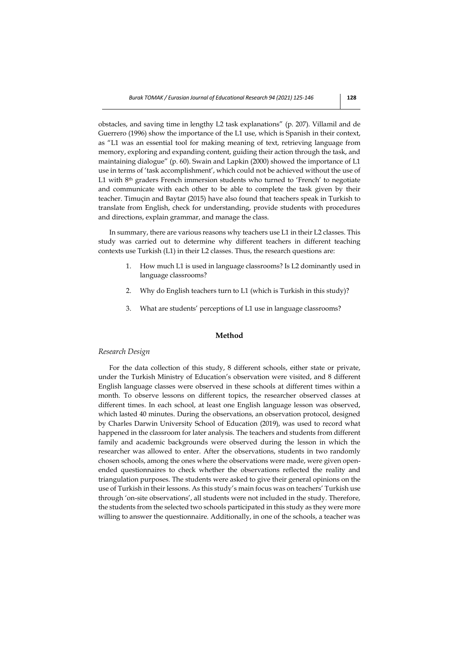obstacles, and saving time in lengthy L2 task explanations" (p. 207). Villamil and de Guerrero (1996) show the importance of the L1 use, which is Spanish in their context, as "L1 was an essential tool for making meaning of text, retrieving language from memory, exploring and expanding content, guiding their action through the task, and maintaining dialogue" (p. 60). Swain and Lapkin (2000) showed the importance of L1 use in terms of 'task accomplishment', which could not be achieved without the use of L1 with  $8<sup>th</sup>$  graders French immersion students who turned to 'French' to negotiate and communicate with each other to be able to complete the task given by their teacher. Timuçin and Baytar (2015) have also found that teachers speak in Turkish to translate from English, check for understanding, provide students with procedures and directions, explain grammar, and manage the class.

In summary, there are various reasons why teachers use L1 in their L2 classes. This study was carried out to determine why different teachers in different teaching contexts use Turkish (L1) in their L2 classes. Thus, the research questions are:

- 1. How much L1 is used in language classrooms? Is L2 dominantly used in language classrooms?
- 2. Why do English teachers turn to L1 (which is Turkish in this study)?
- 3. What are students' perceptions of L1 use in language classrooms?

## **Method**

## *Research Design*

For the data collection of this study, 8 different schools, either state or private, under the Turkish Ministry of Education's observation were visited, and 8 different English language classes were observed in these schools at different times within a month. To observe lessons on different topics, the researcher observed classes at different times. In each school, at least one English language lesson was observed, which lasted 40 minutes. During the observations, an observation protocol, designed by Charles Darwin University School of Education (2019), was used to record what happened in the classroom for later analysis. The teachers and students from different family and academic backgrounds were observed during the lesson in which the researcher was allowed to enter. After the observations, students in two randomly chosen schools, among the ones where the observations were made, were given openended questionnaires to check whether the observations reflected the reality and triangulation purposes. The students were asked to give their general opinions on the use of Turkish in their lessons. As this study's main focus was on teachers' Turkish use through 'on-site observations', all students were not included in the study. Therefore, the students from the selected two schools participated in this study as they were more willing to answer the questionnaire. Additionally, in one of the schools, a teacher was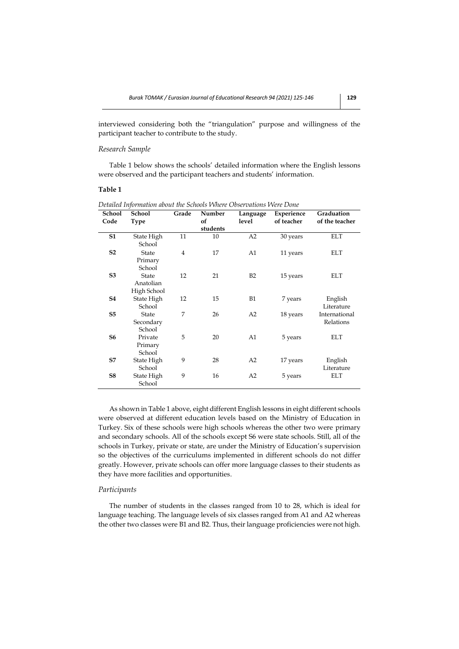interviewed considering both the "triangulation" purpose and willingness of the participant teacher to contribute to the study.

#### *Research Sample*

Table 1 below shows the schools' detailed information where the English lessons were observed and the participant teachers and students' information.

## **Table 1**

| School         | School                              | Grade          | Number   | Language  | Experience | Graduation                 |
|----------------|-------------------------------------|----------------|----------|-----------|------------|----------------------------|
| Code           | Type                                |                | of       | level     | of teacher | of the teacher             |
|                |                                     |                | students |           |            |                            |
| <b>S1</b>      | State High<br>School                | 11             | 10       | A2        | 30 years   | <b>ELT</b>                 |
| S <sub>2</sub> | State<br>Primary<br>School          | $\overline{4}$ | 17       | A1        | 11 years   | <b>ELT</b>                 |
| S <sub>3</sub> | State<br>Anatolian<br>High School   | 12             | 21       | B2        | 15 years   | <b>ELT</b>                 |
| <b>S4</b>      | State High<br>School                | 12             | 15       | <b>B1</b> | 7 years    | English<br>Literature      |
| S <sub>5</sub> | <b>State</b><br>Secondary<br>School | 7              | 26       | A2        | 18 years   | International<br>Relations |
| S6             | Private<br>Primary<br>School        | 5              | 20       | A1        | 5 years    | ELT                        |
| S7             | State High<br>School                | 9              | 28       | A2        | 17 years   | English<br>Literature      |
| S8             | State High<br>School                | 9              | 16       | A2        | 5 years    | <b>ELT</b>                 |

*Detailed Information about the Schools Where Observations Were Done*

As shown in Table 1 above, eight different English lessons in eight different schools were observed at different education levels based on the Ministry of Education in Turkey. Six of these schools were high schools whereas the other two were primary and secondary schools. All of the schools except S6 were state schools. Still, all of the schools in Turkey, private or state, are under the Ministry of Education's supervision so the objectives of the curriculums implemented in different schools do not differ greatly. However, private schools can offer more language classes to their students as they have more facilities and opportunities.

#### *Participants*

The number of students in the classes ranged from 10 to 28, which is ideal for language teaching. The language levels of six classes ranged from A1 and A2 whereas the other two classes were B1 and B2. Thus, their language proficiencies were not high.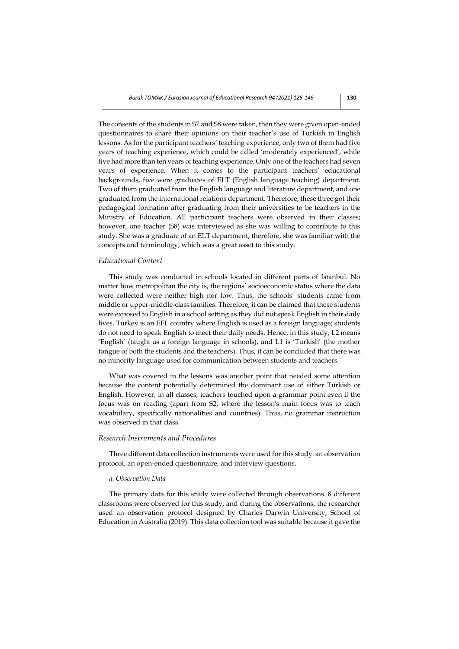The consents of the students in S7 and S8 were taken, then they were given open-ended questionnaires to share their opinions on their teacher's use of Turkish in English lessons. As for the participant teachers' teaching experience, only two of them had five years of teaching experience, which could be called 'moderately experienced', while five had more than ten years of teaching experience. Only one of the teachers had seven years of experience. When it comes to the participant teachers' educational backgrounds, five were graduates of ELT (English language teaching) department. Two of them graduated from the English language and literature department, and one graduated from the international relations department. Therefore, these three got their pedagogical formation after graduating from their universities to be teachers in the Ministry of Education. All participant teachers were observed in their classes; however, one teacher (S8) was interviewed as she was willing to contribute to this study. She was a graduate of an ELT department; therefore, she was familiar with the concepts and terminology, which was a great asset to this study.

#### *Educational Context*

This study was conducted in schools located in different parts of Istanbul. No matter how metropolitan the city is, the regions' socioeconomic status where the data were collected were neither high nor low. Thus, the schools' students came from middle or upper-middle-class families. Therefore, it can be claimed that these students were exposed to English in a school setting as they did not speak English in their daily lives. Turkey is an EFL country where English is used as a foreign language; students do not need to speak English to meet their daily needs. Hence, in this study, L2 means 'English' (taught as a foreign language in schools), and L1 is 'Turkish' (the mother tongue of both the students and the teachers). Thus, it can be concluded that there was no minority language used for communication between students and teachers.

What was covered in the lessons was another point that needed some attention because the content potentially determined the dominant use of either Turkish or English. However, in all classes, teachers touched upon a grammar point even if the focus was on reading (apart from S2, where the lesson's main focus was to teach vocabulary, specifically nationalities and countries). Thus, no grammar instruction was observed in that class.

#### *Research Instruments and Procedures*

Three different data collection instruments were used for this study: an observation protocol, an open-ended questionnaire, and interview questions.

#### *a. Observation Data*

The primary data for this study were collected through observations. 8 different classrooms were observed for this study, and during the observations, the researcher used an observation protocol designed by Charles Darwin University, School of Education in Australia (2019). This data collection tool was suitable because it gave the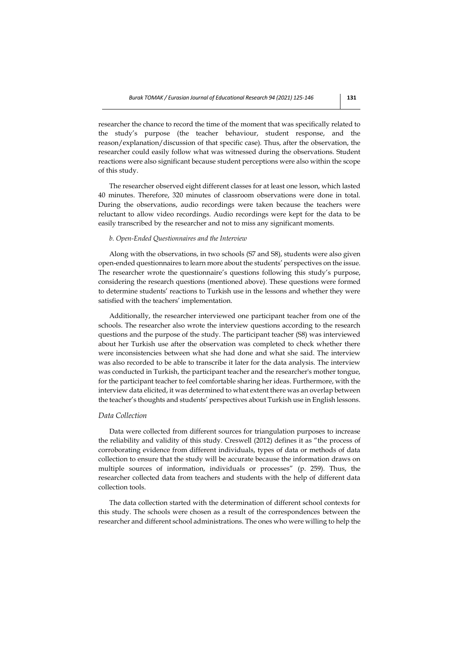researcher the chance to record the time of the moment that was specifically related to the study's purpose (the teacher behaviour, student response, and the reason/explanation/discussion of that specific case). Thus, after the observation, the researcher could easily follow what was witnessed during the observations. Student reactions were also significant because student perceptions were also within the scope of this study.

The researcher observed eight different classes for at least one lesson, which lasted 40 minutes. Therefore, 320 minutes of classroom observations were done in total. During the observations, audio recordings were taken because the teachers were reluctant to allow video recordings. Audio recordings were kept for the data to be easily transcribed by the researcher and not to miss any significant moments.

#### *b. Open-Ended Questionnaires and the Interview*

Along with the observations, in two schools (S7 and S8), students were also given open-ended questionnaires to learn more about the students' perspectives on the issue. The researcher wrote the questionnaire's questions following this study's purpose, considering the research questions (mentioned above). These questions were formed to determine students' reactions to Turkish use in the lessons and whether they were satisfied with the teachers' implementation.

Additionally, the researcher interviewed one participant teacher from one of the schools. The researcher also wrote the interview questions according to the research questions and the purpose of the study. The participant teacher (S8) was interviewed about her Turkish use after the observation was completed to check whether there were inconsistencies between what she had done and what she said. The interview was also recorded to be able to transcribe it later for the data analysis. The interview was conducted in Turkish, the participant teacher and the researcher's mother tongue, for the participant teacher to feel comfortable sharing her ideas. Furthermore, with the interview data elicited, it was determined to what extent there was an overlap between the teacher's thoughts and students' perspectives about Turkish use in English lessons.

## *Data Collection*

Data were collected from different sources for triangulation purposes to increase the reliability and validity of this study. Creswell (2012) defines it as "the process of corroborating evidence from different individuals, types of data or methods of data collection to ensure that the study will be accurate because the information draws on multiple sources of information, individuals or processes" (p. 259). Thus, the researcher collected data from teachers and students with the help of different data collection tools.

The data collection started with the determination of different school contexts for this study. The schools were chosen as a result of the correspondences between the researcher and different school administrations. The ones who were willing to help the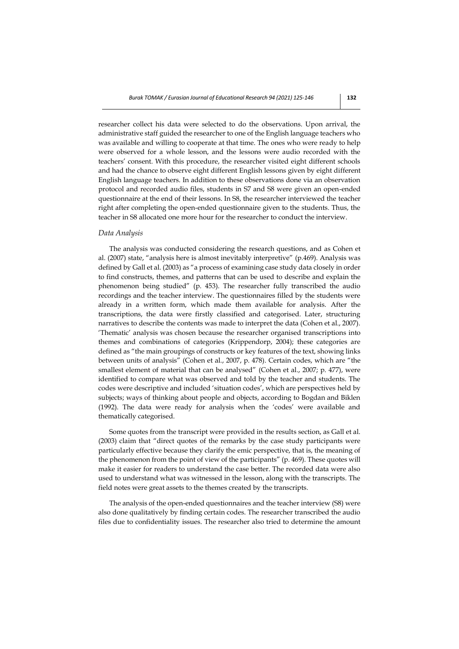researcher collect his data were selected to do the observations. Upon arrival, the administrative staff guided the researcher to one of the English language teachers who was available and willing to cooperate at that time. The ones who were ready to help were observed for a whole lesson, and the lessons were audio recorded with the teachers' consent. With this procedure, the researcher visited eight different schools and had the chance to observe eight different English lessons given by eight different English language teachers. In addition to these observations done via an observation protocol and recorded audio files, students in S7 and S8 were given an open-ended questionnaire at the end of their lessons. In S8, the researcher interviewed the teacher right after completing the open-ended questionnaire given to the students. Thus, the teacher in S8 allocated one more hour for the researcher to conduct the interview.

#### *Data Analysis*

The analysis was conducted considering the research questions, and as Cohen et al. (2007) state, "analysis here is almost inevitably interpretive" (p.469). Analysis was defined by Gall et al. (2003) as "a process of examining case study data closely in order to find constructs, themes, and patterns that can be used to describe and explain the phenomenon being studied" (p. 453). The researcher fully transcribed the audio recordings and the teacher interview. The questionnaires filled by the students were already in a written form, which made them available for analysis. After the transcriptions, the data were firstly classified and categorised. Later, structuring narratives to describe the contents was made to interpret the data (Cohen et al., 2007). 'Thematic' analysis was chosen because the researcher organised transcriptions into themes and combinations of categories (Krippendorp, 2004); these categories are defined as "the main groupings of constructs or key features of the text, showing links between units of analysis" (Cohen et al., 2007, p. 478). Certain codes, which are "the smallest element of material that can be analysed" (Cohen et al., 2007; p. 477), were identified to compare what was observed and told by the teacher and students. The codes were descriptive and included 'situation codes', which are perspectives held by subjects; ways of thinking about people and objects, according to Bogdan and Biklen (1992). The data were ready for analysis when the 'codes' were available and thematically categorised.

Some quotes from the transcript were provided in the results section, as Gall et al. (2003) claim that "direct quotes of the remarks by the case study participants were particularly effective because they clarify the emic perspective, that is, the meaning of the phenomenon from the point of view of the participants" (p. 469). These quotes will make it easier for readers to understand the case better. The recorded data were also used to understand what was witnessed in the lesson, along with the transcripts. The field notes were great assets to the themes created by the transcripts.

The analysis of the open-ended questionnaires and the teacher interview (S8) were also done qualitatively by finding certain codes. The researcher transcribed the audio files due to confidentiality issues. The researcher also tried to determine the amount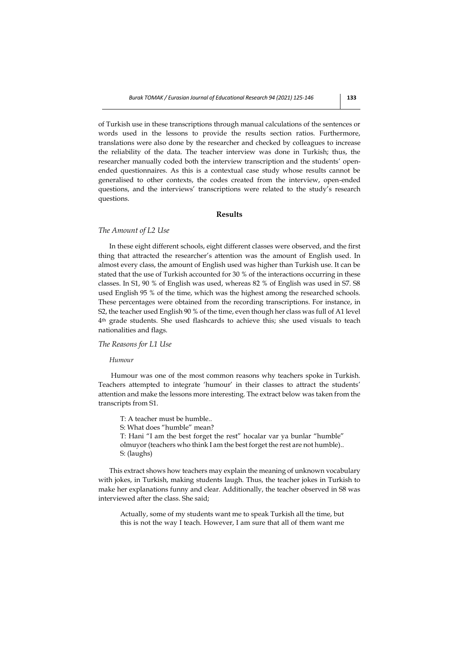of Turkish use in these transcriptions through manual calculations of the sentences or words used in the lessons to provide the results section ratios. Furthermore, translations were also done by the researcher and checked by colleagues to increase the reliability of the data. The teacher interview was done in Turkish; thus, the researcher manually coded both the interview transcription and the students' openended questionnaires. As this is a contextual case study whose results cannot be generalised to other contexts, the codes created from the interview, open-ended questions, and the interviews' transcriptions were related to the study's research questions.

## **Results**

#### *The Amount of L2 Use*

In these eight different schools, eight different classes were observed, and the first thing that attracted the researcher's attention was the amount of English used. In almost every class, the amount of English used was higher than Turkish use. It can be stated that the use of Turkish accounted for 30 % of the interactions occurring in these classes. In S1, 90 % of English was used, whereas 82 % of English was used in S7. S8 used English 95 % of the time, which was the highest among the researched schools. These percentages were obtained from the recording transcriptions. For instance, in S2, the teacher used English 90 % of the time, even though her class was full of A1 level 4th grade students. She used flashcards to achieve this; she used visuals to teach nationalities and flags.

#### *The Reasons for L1 Use*

#### *Humour*

Humour was one of the most common reasons why teachers spoke in Turkish. Teachers attempted to integrate 'humour' in their classes to attract the students' attention and make the lessons more interesting. The extract below was taken from the transcripts from S1.

- T: A teacher must be humble..
- S: What does "humble" mean?

T: Hani "I am the best forget the rest" hocalar var ya bunlar "humble" olmuyor (teachers who think I am the best forget the rest are not humble).. S: (laughs)

This extract shows how teachers may explain the meaning of unknown vocabulary with jokes, in Turkish, making students laugh. Thus, the teacher jokes in Turkish to make her explanations funny and clear. Additionally, the teacher observed in S8 was interviewed after the class. She said;

Actually, some of my students want me to speak Turkish all the time, but this is not the way I teach. However, I am sure that all of them want me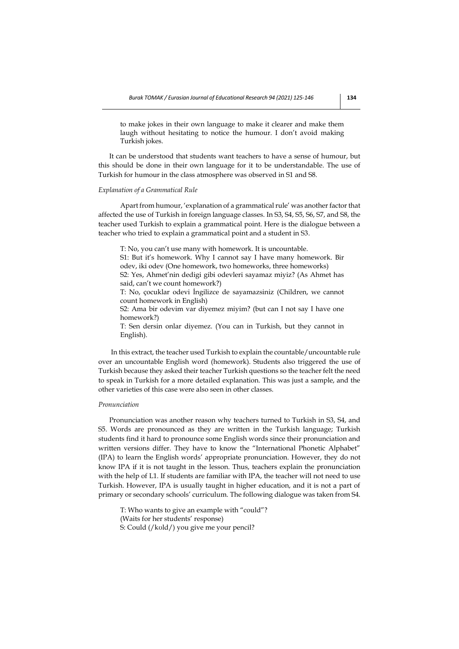to make jokes in their own language to make it clearer and make them laugh without hesitating to notice the humour. I don't avoid making Turkish jokes.

It can be understood that students want teachers to have a sense of humour, but this should be done in their own language for it to be understandable. The use of Turkish for humour in the class atmosphere was observed in S1 and S8.

#### *Explanation of a Grammatical Rule*

Apart from humour, 'explanation of a grammatical rule' was another factor that affected the use of Turkish in foreign language classes. In S3, S4, S5, S6, S7, and S8, the teacher used Turkish to explain a grammatical point. Here is the dialogue between a teacher who tried to explain a grammatical point and a student in S3.

T: No, you can't use many with homework. It is uncountable.

S1: But it's homework. Why I cannot say I have many homework. Bir odev, iki odev (One homework, two homeworks, three homeworks) S2: Yes, Ahmet'nin dedigi gibi odevleri sayamaz miyiz? (As Ahmet has

said, can't we count homework?)

T: No, çocuklar odevi İngilizce de sayamazsiniz (Children, we cannot count homework in English)

S2: Ama bir odevim var diyemez miyim? (but can I not say I have one homework?)

T: Sen dersin onlar diyemez. (You can in Turkish, but they cannot in English).

In this extract, the teacher used Turkish to explain the countable/uncountable rule over an uncountable English word (homework). Students also triggered the use of Turkish because they asked their teacher Turkish questions so the teacher felt the need to speak in Turkish for a more detailed explanation. This was just a sample, and the other varieties of this case were also seen in other classes.

#### *Pronunciation*

Pronunciation was another reason why teachers turned to Turkish in S3, S4, and S5. Words are pronounced as they are written in the Turkish language; Turkish students find it hard to pronounce some English words since their pronunciation and written versions differ. They have to know the "International Phonetic Alphabet" (IPA) to learn the English words' appropriate pronunciation. However, they do not know IPA if it is not taught in the lesson. Thus, teachers explain the pronunciation with the help of L1. If students are familiar with IPA, the teacher will not need to use Turkish. However, IPA is usually taught in higher education, and it is not a part of primary or secondary schools' curriculum. The following dialogue was taken from S4.

T: Who wants to give an example with "could"? (Waits for her students' response) S: Could (/kʊld/) you give me your pencil?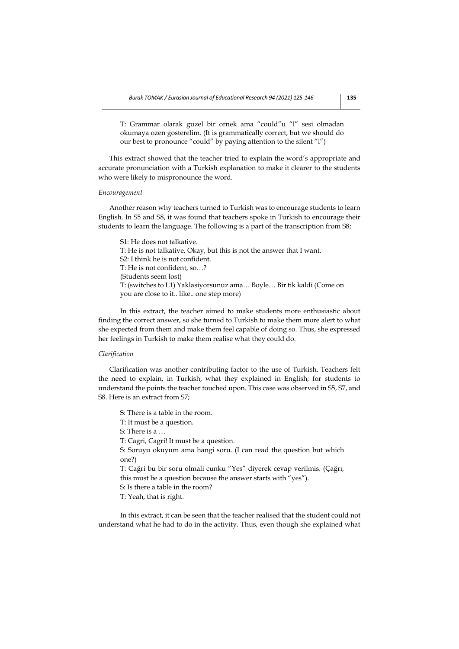T: Grammar olarak guzel bir ornek ama "could"u "l" sesi olmadan okumaya ozen gosterelim. (It is grammatically correct, but we should do our best to pronounce "could" by paying attention to the silent "l")

This extract showed that the teacher tried to explain the word's appropriate and accurate pronunciation with a Turkish explanation to make it clearer to the students who were likely to mispronounce the word.

#### *Encouragement*

Another reason why teachers turned to Turkish was to encourage students to learn English. In S5 and S8, it was found that teachers spoke in Turkish to encourage their students to learn the language. The following is a part of the transcription from S8;

S1: He does not talkative. T: He is not talkative. Okay, but this is not the answer that I want. S2: I think he is not confident. T: He is not confident, so…? (Students seem lost) T: (switches to L1) Yaklasiyorsunuz ama… Boyle… Bir tik kaldi (Come on you are close to it.. like.. one step more)

In this extract, the teacher aimed to make students more enthusiastic about finding the correct answer, so she turned to Turkish to make them more alert to what she expected from them and make them feel capable of doing so. Thus, she expressed her feelings in Turkish to make them realise what they could do.

#### *Clarification*

Clarification was another contributing factor to the use of Turkish. Teachers felt the need to explain, in Turkish, what they explained in English; for students to understand the points the teacher touched upon. This case was observed in S5, S7, and S8. Here is an extract from S7;

S: There is a table in the room.

T: It must be a question.

S: There is a …

T: Cagri, Cagri! It must be a question.

S: Soruyu okuyum ama hangi soru. (I can read the question but which one?)

T: Cağri bu bir soru olmali cunku "Yes" diyerek cevap verilmis. (Çağrı, this must be a question because the answer starts with "yes").

S: Is there a table in the room?

T: Yeah, that is right.

In this extract, it can be seen that the teacher realised that the student could not understand what he had to do in the activity. Thus, even though she explained what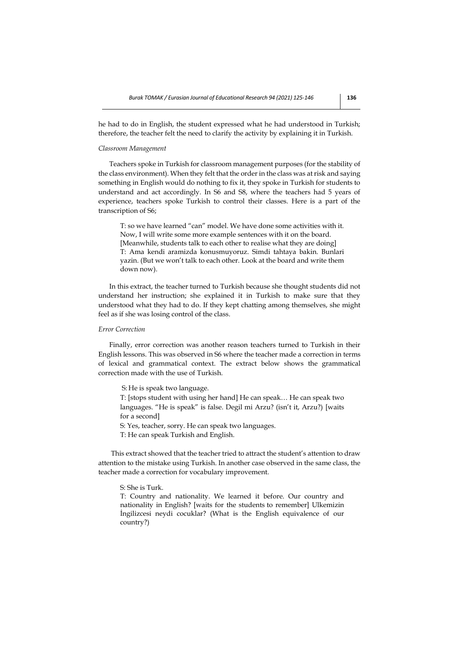he had to do in English, the student expressed what he had understood in Turkish; therefore, the teacher felt the need to clarify the activity by explaining it in Turkish.

#### *Classroom Management*

Teachers spoke in Turkish for classroom management purposes (for the stability of the class environment). When they felt that the order in the class was at risk and saying something in English would do nothing to fix it, they spoke in Turkish for students to understand and act accordingly. In S6 and S8, where the teachers had 5 years of experience, teachers spoke Turkish to control their classes. Here is a part of the transcription of S6;

T: so we have learned "can" model. We have done some activities with it. Now, I will write some more example sentences with it on the board. [Meanwhile, students talk to each other to realise what they are doing] T: Ama kendi aramizda konusmuyoruz. Simdi tahtaya bakin. Bunlari yazin. (But we won't talk to each other. Look at the board and write them down now).

In this extract, the teacher turned to Turkish because she thought students did not understand her instruction; she explained it in Turkish to make sure that they understood what they had to do. If they kept chatting among themselves, she might feel as if she was losing control of the class.

## *Error Correction*

Finally, error correction was another reason teachers turned to Turkish in their English lessons. This was observed in S6 where the teacher made a correction in terms of lexical and grammatical context. The extract below shows the grammatical correction made with the use of Turkish.

S: He is speak two language.

T: [stops student with using her hand] He can speak… He can speak two languages. "He is speak" is false. Degil mi Arzu? (isn't it, Arzu?) [waits for a second]

S: Yes, teacher, sorry. He can speak two languages.

T: He can speak Turkish and English.

This extract showed that the teacher tried to attract the student's attention to draw attention to the mistake using Turkish. In another case observed in the same class, the teacher made a correction for vocabulary improvement.

S: She is Turk.

T: Country and nationality. We learned it before. Our country and nationality in English? [waits for the students to remember] Ulkemizin İngilizcesi neydi cocuklar? (What is the English equivalence of our country?)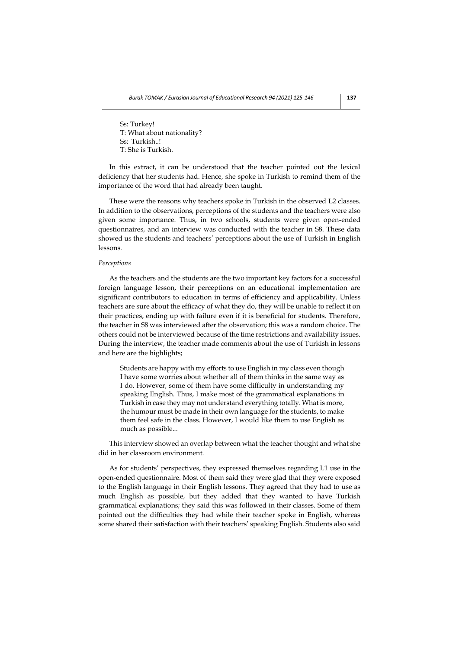Ss: Turkey! T: What about nationality? Ss: Turkish..! T: She is Turkish.

In this extract, it can be understood that the teacher pointed out the lexical deficiency that her students had. Hence, she spoke in Turkish to remind them of the importance of the word that had already been taught.

These were the reasons why teachers spoke in Turkish in the observed L2 classes. In addition to the observations, perceptions of the students and the teachers were also given some importance. Thus, in two schools, students were given open-ended questionnaires, and an interview was conducted with the teacher in S8. These data showed us the students and teachers' perceptions about the use of Turkish in English lessons.

#### *Perceptions*

As the teachers and the students are the two important key factors for a successful foreign language lesson, their perceptions on an educational implementation are significant contributors to education in terms of efficiency and applicability. Unless teachers are sure about the efficacy of what they do, they will be unable to reflect it on their practices, ending up with failure even if it is beneficial for students. Therefore, the teacher in S8 was interviewed after the observation; this was a random choice. The others could not be interviewed because of the time restrictions and availability issues. During the interview, the teacher made comments about the use of Turkish in lessons and here are the highlights;

Students are happy with my efforts to use English in my class even though I have some worries about whether all of them thinks in the same way as I do. However, some of them have some difficulty in understanding my speaking English. Thus, I make most of the grammatical explanations in Turkish in case they may not understand everything totally. What is more, the humour must be made in their own language for the students, to make them feel safe in the class. However, I would like them to use English as much as possible...

This interview showed an overlap between what the teacher thought and what she did in her classroom environment.

As for students' perspectives, they expressed themselves regarding L1 use in the open-ended questionnaire. Most of them said they were glad that they were exposed to the English language in their English lessons. They agreed that they had to use as much English as possible, but they added that they wanted to have Turkish grammatical explanations; they said this was followed in their classes. Some of them pointed out the difficulties they had while their teacher spoke in English, whereas some shared their satisfaction with their teachers' speaking English. Students also said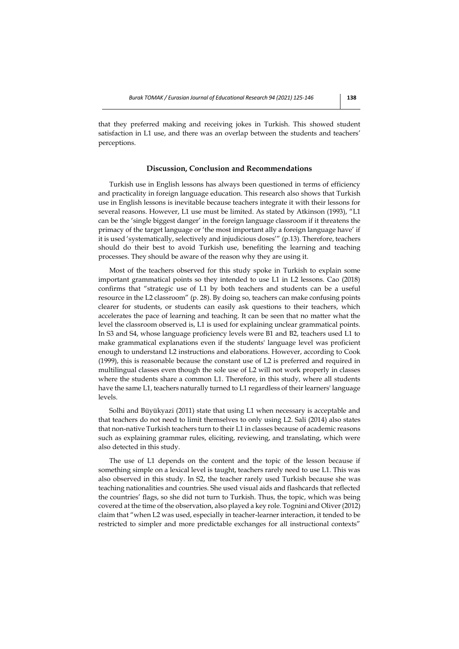that they preferred making and receiving jokes in Turkish. This showed student satisfaction in L1 use, and there was an overlap between the students and teachers' perceptions.

## **Discussion, Conclusion and Recommendations**

Turkish use in English lessons has always been questioned in terms of efficiency and practicality in foreign language education. This research also shows that Turkish use in English lessons is inevitable because teachers integrate it with their lessons for several reasons. However, L1 use must be limited. As stated by Atkinson (1993), "L1 can be the 'single biggest danger' in the foreign language classroom if it threatens the primacy of the target language or 'the most important ally a foreign language have' if it is used 'systematically, selectively and injudicious doses'" (p.13). Therefore, teachers should do their best to avoid Turkish use, benefiting the learning and teaching processes. They should be aware of the reason why they are using it.

Most of the teachers observed for this study spoke in Turkish to explain some important grammatical points so they intended to use L1 in L2 lessons. Cao (2018) confirms that "strategic use of L1 by both teachers and students can be a useful resource in the L2 classroom" (p. 28). By doing so, teachers can make confusing points clearer for students, or students can easily ask questions to their teachers, which accelerates the pace of learning and teaching. It can be seen that no matter what the level the classroom observed is, L1 is used for explaining unclear grammatical points. In S3 and S4, whose language proficiency levels were B1 and B2, teachers used L1 to make grammatical explanations even if the students' language level was proficient enough to understand L2 instructions and elaborations. However, according to Cook (1999), this is reasonable because the constant use of L2 is preferred and required in multilingual classes even though the sole use of L2 will not work properly in classes where the students share a common L1. Therefore, in this study, where all students have the same L1, teachers naturally turned to L1 regardless of their learners' language levels.

Solhi and Büyükyazi (2011) state that using L1 when necessary is acceptable and that teachers do not need to limit themselves to only using L2. Sali (2014) also states that non-native Turkish teachers turn to their L1 in classes because of academic reasons such as explaining grammar rules, eliciting, reviewing, and translating, which were also detected in this study.

The use of L1 depends on the content and the topic of the lesson because if something simple on a lexical level is taught, teachers rarely need to use L1. This was also observed in this study. In S2, the teacher rarely used Turkish because she was teaching nationalities and countries. She used visual aids and flashcards that reflected the countries' flags, so she did not turn to Turkish. Thus, the topic, which was being covered at the time of the observation, also played a key role. Tognini and Oliver (2012) claim that "when L2 was used, especially in teacher-learner interaction, it tended to be restricted to simpler and more predictable exchanges for all instructional contexts"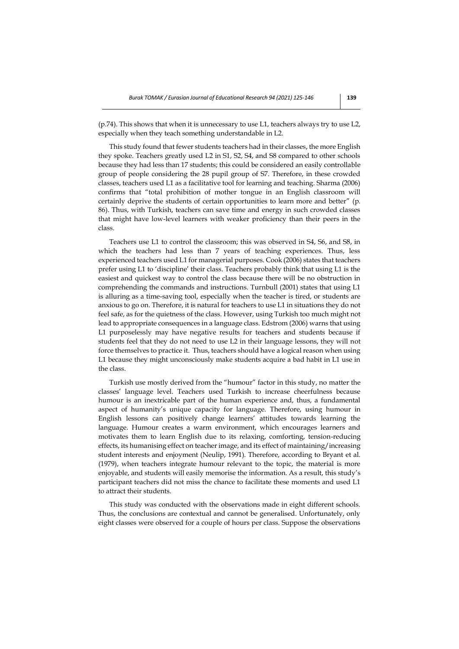(p.74). This shows that when it is unnecessary to use L1, teachers always try to use L2, especially when they teach something understandable in L2.

This study found that fewer students teachers had in their classes, the more English they spoke. Teachers greatly used L2 in S1, S2, S4, and S8 compared to other schools because they had less than 17 students; this could be considered an easily controllable group of people considering the 28 pupil group of S7. Therefore, in these crowded classes, teachers used L1 as a facilitative tool for learning and teaching. Sharma (2006) confirms that "total prohibition of mother tongue in an English classroom will certainly deprive the students of certain opportunities to learn more and better" (p. 86). Thus, with Turkish, teachers can save time and energy in such crowded classes that might have low-level learners with weaker proficiency than their peers in the class.

Teachers use L1 to control the classroom; this was observed in S4, S6, and S8, in which the teachers had less than 7 years of teaching experiences. Thus, less experienced teachers used L1 for managerial purposes. Cook (2006) states that teachers prefer using L1 to 'discipline' their class. Teachers probably think that using L1 is the easiest and quickest way to control the class because there will be no obstruction in comprehending the commands and instructions. Turnbull (2001) states that using L1 is alluring as a time-saving tool, especially when the teacher is tired, or students are anxious to go on. Therefore, it is natural for teachers to use L1 in situations they do not feel safe, as for the quietness of the class. However, using Turkish too much might not lead to appropriate consequences in a language class. Edstrom (2006) warns that using L1 purposelessly may have negative results for teachers and students because if students feel that they do not need to use L2 in their language lessons, they will not force themselves to practice it. Thus, teachers should have a logical reason when using L1 because they might unconsciously make students acquire a bad habit in L1 use in the class.

Turkish use mostly derived from the "humour" factor in this study, no matter the classes' language level. Teachers used Turkish to increase cheerfulness because humour is an inextricable part of the human experience and, thus, a fundamental aspect of humanity's unique capacity for language. Therefore, using humour in English lessons can positively change learners' attitudes towards learning the language. Humour creates a warm environment, which encourages learners and motivates them to learn English due to its relaxing, comforting, tension-reducing effects, its humanising effect on teacher image, and its effect of maintaining/increasing student interests and enjoyment (Neulip, 1991). Therefore, according to Bryant et al. (1979), when teachers integrate humour relevant to the topic, the material is more enjoyable, and students will easily memorise the information. As a result, this study's participant teachers did not miss the chance to facilitate these moments and used L1 to attract their students.

This study was conducted with the observations made in eight different schools. Thus, the conclusions are contextual and cannot be generalised. Unfortunately, only eight classes were observed for a couple of hours per class. Suppose the observations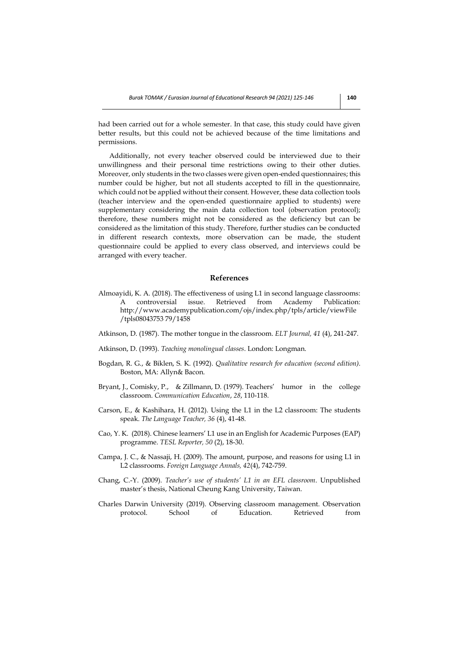had been carried out for a whole semester. In that case, this study could have given better results, but this could not be achieved because of the time limitations and permissions.

Additionally, not every teacher observed could be interviewed due to their unwillingness and their personal time restrictions owing to their other duties. Moreover, only students in the two classes were given open-ended questionnaires; this number could be higher, but not all students accepted to fill in the questionnaire, which could not be applied without their consent. However, these data collection tools (teacher interview and the open-ended questionnaire applied to students) were supplementary considering the main data collection tool (observation protocol); therefore, these numbers might not be considered as the deficiency but can be considered as the limitation of this study. Therefore, further studies can be conducted in different research contexts, more observation can be made, the student questionnaire could be applied to every class observed, and interviews could be arranged with every teacher.

#### **References**

- Almoayidi, K. A. (2018). The effectiveness of using L1 in second language classrooms:<br>A controversial issue. Retrieved from Academy Publication: A controversial issue. Retrieved from Academy Publication: http://www.academypublication.com/ojs/index.php/tpls/article/viewFile /tpls08043753 79/1458
- Atkinson, D. (1987). The mother tongue in the classroom. *ELT Journal, 41* (4), 241-247.
- Atkinson, D. (1993). *Teaching monolingual classes*. London: Longman.
- Bogdan, R. G., & Biklen, S. K. (1992). *Qualitative research for education (second edition)*. Boston, MA: Allyn& Bacon.
- Bryant, J., Comisky, P., & Zillmann, D. (1979). Teachers' humor in the college classroom. *Communication Education*, *28*, 110-118.
- Carson, E., & Kashihara, H. (2012). Using the L1 in the L2 classroom: The students speak. *The Language Teacher, 36* (4), 41-48.
- Cao, Y. K. (2018). Chinese learners' L1 use in an English for Academic Purposes (EAP) programme. *TESL Reporter, 50* (2), 18-30.
- Campa, J. C., & Nassaji, H. (2009). The amount, purpose, and reasons for using L1 in L2 classrooms. *Foreign Language Annals, 42*(4), 742-759.
- Chang, C.-Y. (2009). *Teacher's use of students' L1 in an EFL classroom*. Unpublished master's thesis, National Cheung Kang University, Taiwan.
- Charles Darwin University (2019). Observing classroom management. Observation protocol. School of Education. Retrieved from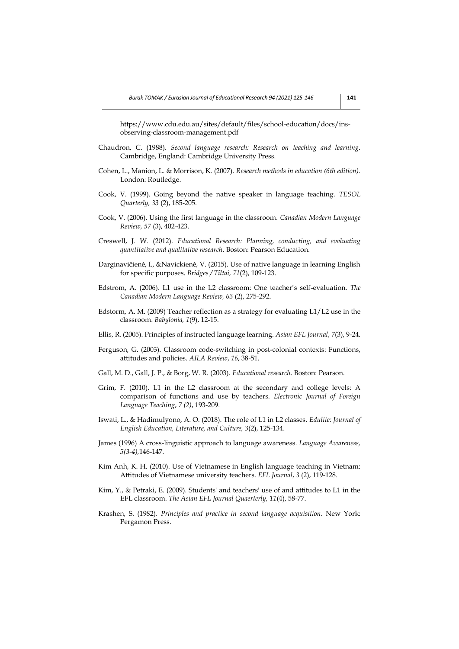https://www.cdu.edu.au/sites/default/files/school-education/docs/insobserving-classroom-management.pdf

- Chaudron, C. (1988). *Second language research: Research on teaching and learning*. Cambridge, England: Cambridge University Press.
- Cohen, L., Manion, L. & Morrison, K. (2007). *Research methods in education (6th edition)*. London: Routledge.
- Cook, V. (1999). Going beyond the native speaker in language teaching. *TESOL Quarterly, 33* (2), 185-205.
- Cook, V. (2006). Using the first language in the classroom. *Canadian Modern Language Review, 57* (3), 402-423.
- Creswell, J. W. (2012). *Educational Research: Planning, conducting, and evaluating quantitative and qualitative research*. Boston: Pearson Education.
- Darginavičienė, I., &Navickienė, V. (2015). Use of native language in learning English for specific purposes. *Bridges / Tiltai, 71*(2), 109-123.
- Edstrom, A. (2006). L1 use in the L2 classroom: One teacher's self-evaluation. *The Canadian Modern Language Review, 63* (2), 275-292.
- Edstorm, A. M. (2009) Teacher reflection as a strategy for evaluating L1/L2 use in the classroom. *Babylonia, 1*(9), 12-15.
- Ellis, R. (2005). Principles of instructed language learning. *Asian EFL Journal*, *7*(3), 9-24.
- Ferguson, G. (2003). Classroom code-switching in post-colonial contexts: Functions, attitudes and policies. *AILA Review*, *16*, 38-51.
- Gall, M. D., Gall, J. P., & Borg, W. R. (2003). *Educational research*. Boston: Pearson.
- Grim, F. (2010). L1 in the L2 classroom at the secondary and college levels: A comparison of functions and use by teachers. *Electronic Journal of Foreign Language Teaching*, *7 (2)*, 193-209.
- Iswati, L., & Hadimulyono, A. O. (2018). The role of L1 in L2 classes. *Edulite: Journal of English Education, Literature, and Culture, 3*(2), 125-134.
- James (1996) A cross-linguistic approach to language awareness*. Language Awareness, 5(3-4),*146-147.
- Kim Anh, K. H. (2010). Use of Vietnamese in English language teaching in Vietnam: Attitudes of Vietnamese university teachers*. EFL Journal*, *3* (2), 119-128.
- Kim, Y., & Petraki, E. (2009). Students' and teachers' use of and attitudes to L1 in the EFL classroom. *The Asian EFL Journal Quaerterly, 11*(4), 58-77.
- Krashen, S. (1982). *Principles and practice in second language acquisition*. New York: Pergamon Press.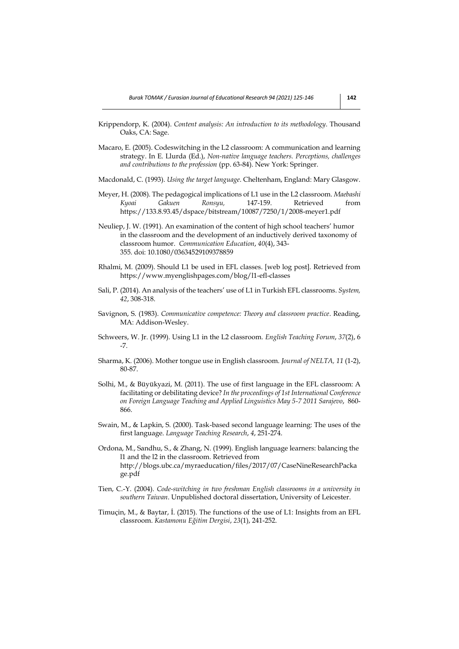- Krippendorp, K. (2004). *Content analysis: An introduction to its methodology*. Thousand Oaks, CA: Sage.
- Macaro, E. (2005). Codeswitching in the L2 classroom: A communication and learning strategy. In E. Llurda (Ed.), *Non-native language teachers. Perceptions, challenges and contributions to the profession* (pp. 63-84). New York: Springer.
- Macdonald, C. (1993). *Using the target language*. Cheltenham, England: Mary Glasgow.
- Meyer, H. (2008). The pedagogical implications of L1 use in the L2 classroom. *Maebashi Kyoai Gakuen Ronsyu,* 147-159. Retrieved from https://133.8.93.45/dspace/bitstream/10087/7250/1/2008-meyer1.pdf
- Neuliep, J. W. (1991). An examination of the content of high school teachers' humor in the classroom and the development of an inductively derived taxonomy of classroom humor. *Communication Education*, *40*(4), 343- 355. doi: 10.1080/03634529109378859
- Rhalmi, M. (2009). Should L1 be used in EFL classes. [web log post]. Retrieved from https://www.myenglishpages.com/blog/l1-efl-classes
- Sali, P. (2014). An analysis of the teachers' use of L1 in Turkish EFL classrooms. *System, 42*, 308-318.
- Savignon, S. (1983). *Communicative competence: Theory and classroom practice*. Reading, MA: Addison-Wesley.
- Schweers, W. Jr. (1999). Using L1 in the L2 classroom*. English Teaching Forum*, *37*(2), 6 -7.
- Sharma, K. (2006). Mother tongue use in English classroom. *Journal of NELTA, 11* (1-2), 80-87.
- Solhi, M., & Büyükyazi, M. (2011). The use of first language in the EFL classroom: A facilitating or debilitating device? *In the proceedings of 1st International Conference on Foreign Language Teaching and Applied Linguistics May 5-7 2011 Sarajevo*, 860- 866.
- Swain, M., & Lapkin, S. (2000). Task-based second language learning: The uses of the first language. *Language Teaching Research*, *4*, 251-274.
- Ordona, M., Sandhu, S., & Zhang, N. (1999). English language learners: balancing the l1 and the l2 in the classroom*.* Retrieved from http://blogs.ubc.ca/myraeducation/files/2017/07/CaseNineResearchPacka ge.pdf
- Tien, C.-Y. (2004). *Code-switching in two freshman English classrooms in a university in southern Taiwan*. Unpublished doctoral dissertation, University of Leicester.
- Timuçin, M., & Baytar, İ. (2015). The functions of the use of L1: Insights from an EFL classroom. *Kastamonu Eğitim Dergisi*, *23*(1), 241-252.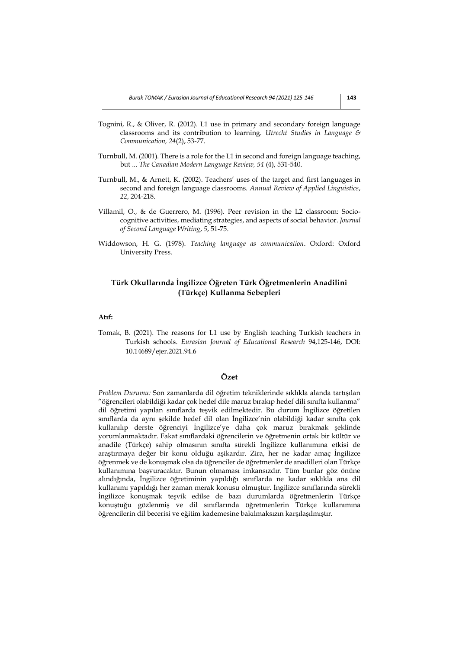- Tognini, R., & Oliver, R. (2012). L1 use in primary and secondary foreign language classrooms and its contribution to learning. *Utrecht Studies in Language & Communication, 24*(2), 53-77.
- Turnbull, M. (2001). There is a role for the L1 in second and foreign language teaching, but ... *The Canadian Modern Language Review, 54* (4), 531-540.
- Turnbull, M., & Arnett, K. (2002). Teachers' uses of the target and first languages in second and foreign language classrooms. *Annual Review of Applied Linguistics*, *22*, 204-218.
- Villamil, O., & de Guerrero, M. (1996). Peer revision in the L2 classroom: Sociocognitive activities, mediating strategies, and aspects of social behavior. *Journal of Second Language Writing*, *5*, 51-75.
- Widdowson, H. G. (1978). *Teaching language as communication*. Oxford: Oxford University Press.

# **Türk Okullarında İngilizce Öğreten Türk Öğretmenlerin Anadilini (Türkçe) Kullanma Sebepleri**

## **Atıf:**

Tomak, B. (2021). The reasons for L1 use by English teaching Turkish teachers in Turkish schools. *Eurasian Journal of Educational Research* 94,125-146, DOI: 10.14689/ejer.2021.94.6

# **Özet**

*Problem Durumu:* Son zamanlarda dil öğretim tekniklerinde sıklıkla alanda tartışılan "öğrencileri olabildiği kadar çok hedef dile maruz bırakıp hedef dili sınıfta kullanma" dil öğretimi yapılan sınıflarda teşvik edilmektedir. Bu durum İngilizce öğretilen sınıflarda da aynı şekilde hedef dil olan İngilizce'nin olabildiği kadar sınıfta çok kullanılıp derste öğrenciyi İngilizce'ye daha çok maruz bırakmak şeklinde yorumlanmaktadır. Fakat sınıflardaki öğrencilerin ve öğretmenin ortak bir kültür ve anadile (Türkçe) sahip olmasının sınıfta sürekli İngilizce kullanımına etkisi de araştırmaya değer bir konu olduğu aşikardır. Zira, her ne kadar amaç İngilizce öğrenmek ve de konuşmak olsa da öğrenciler de öğretmenler de anadilleri olan Türkçe kullanımına başvuracaktır. Bunun olmaması imkansızdır. Tüm bunlar göz önüne alındığında, İngilizce öğretiminin yapıldığı sınıflarda ne kadar sıklıkla ana dil kullanımı yapıldığı her zaman merak konusu olmuştur. İngilizce sınıflarında sürekli İngilizce konuşmak teşvik edilse de bazı durumlarda öğretmenlerin Türkçe konuştuğu gözlenmiş ve dil sınıflarında öğretmenlerin Türkçe kullanımına öğrencilerin dil becerisi ve eğitim kademesine bakılmaksızın karşılaşılmıştır.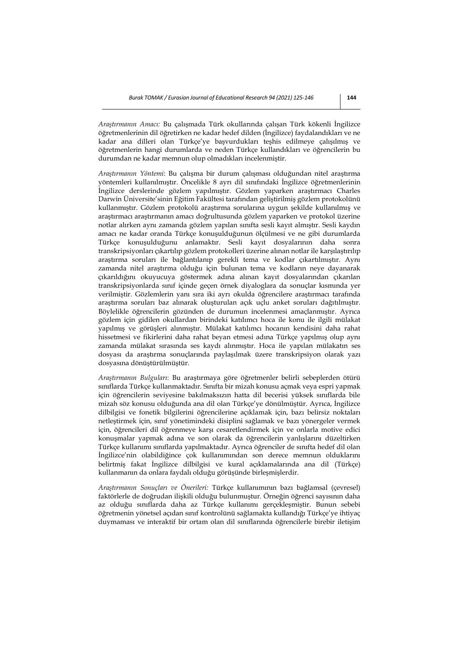*Araştırmanın Amacı:* Bu çalışmada Türk okullarında çalışan Türk kökenli İngilizce öğretmenlerinin dil öğretirken ne kadar hedef dilden (İngilizce) faydalandıkları ve ne kadar ana dilleri olan Türkçe'ye başvurdukları teşhis edilmeye çalışılmış ve öğretmenlerin hangi durumlarda ve neden Türkçe kullandıkları ve öğrencilerin bu durumdan ne kadar memnun olup olmadıkları incelenmiştir.

*Araştırmanın Yöntemi*: Bu çalışma bir durum çalışması olduğundan nitel araştırma yöntemleri kullanılmıştır. Öncelikle 8 ayrı dil sınıfındaki İngilizce öğretmenlerinin İngilizce derslerinde gözlem yapılmıştır. Gözlem yaparken araştırmacı Charles Darwin Üniversite'sinin Eğitim Fakültesi tarafından geliştirilmiş gözlem protokolünü kullanmıştır. Gözlem protokolü araştırma sorularına uygun şekilde kullanılmış ve araştırmacı araştırmanın amacı doğrultusunda gözlem yaparken ve protokol üzerine notlar alırken aynı zamanda gözlem yapılan sınıfta sesli kayıt almıştır. Sesli kaydın amacı ne kadar oranda Türkçe konuşulduğunun ölçülmesi ve ne gibi durumlarda Türkçe konuşulduğunu anlamaktır. Sesli kayıt dosyalarının daha sonra transkripsiyonları çıkartılıp gözlem protokolleri üzerine alınan notlar ile karşılaştırılıp araştırma soruları ile bağlantılanıp gerekli tema ve kodlar çıkartılmıştır. Aynı zamanda nitel araştırma olduğu için bulunan tema ve kodların neye dayanarak çıkarıldığını okuyucuya göstermek adına alınan kayıt dosyalarından çıkarılan transkripsiyonlarda sınıf içinde geçen örnek diyaloglara da sonuçlar kısmında yer verilmiştir. Gözlemlerin yanı sıra iki ayrı okulda öğrencilere araştırmacı tarafında araştırma soruları baz alınarak oluşturulan açık uçlu anket soruları dağıtılmıştır. Böylelikle öğrencilerin gözünden de durumun incelenmesi amaçlanmıştır. Ayrıca gözlem için gidilen okullardan birindeki katılımcı hoca ile konu ile ilgili mülakat yapılmış ve görüşleri alınmıştır. Mülakat katılımcı hocanın kendisini daha rahat hissetmesi ve fikirlerini daha rahat beyan etmesi adına Türkçe yapılmış olup aynı zamanda mülakat sırasında ses kaydı alınmıştır. Hoca ile yapılan mülakatın ses dosyası da araştırma sonuçlarında paylaşılmak üzere transkripsiyon olarak yazı dosyasına dönüştürülmüştür.

*Araştırmanın Bulguları*: Bu araştırmaya göre öğretmenler belirli sebeplerden ötürü sınıflarda Türkçe kullanmaktadır. Sınıfta bir mizah konusu açmak veya espri yapmak için öğrencilerin seviyesine bakılmaksızın hatta dil becerisi yüksek sınıflarda bile mizah söz konusu olduğunda ana dil olan Türkçe'ye dönülmüştür. Ayrıca, İngilizce dilbilgisi ve fonetik bilgilerini öğrencilerine açıklamak için, bazı belirsiz noktaları netleştirmek için, sınıf yönetimindeki disiplini sağlamak ve bazı yönergeler vermek için, öğrencileri dil öğrenmeye karşı cesaretlendirmek için ve onlarla motive edici konuşmalar yapmak adına ve son olarak da öğrencilerin yanlışlarını düzeltirken Türkçe kullanımı sınıflarda yapılmaktadır. Ayrıca öğrenciler de sınıfta hedef dil olan İngilizce'nin olabildiğince çok kullanımından son derece memnun olduklarını belirtmiş fakat İngilizce dilbilgisi ve kural açıklamalarında ana dil (Türkçe) kullanmanın da onlara faydalı olduğu görüşünde birleşmişlerdir.

*Araştırmanın Sonuçları ve Önerileri:* Türkçe kullanımının bazı bağlamsal (çevresel) faktörlerle de doğrudan ilişkili olduğu bulunmuştur. Örneğin öğrenci sayısının daha az olduğu sınıflarda daha az Türkçe kullanımı gerçekleşmiştir. Bunun sebebi öğretmenin yönetsel açıdan sınıf kontrolünü sağlamakta kullandığı Türkçe'ye ihtiyaç duymaması ve interaktif bir ortam olan dil sınıflarında öğrencilerle birebir iletişim